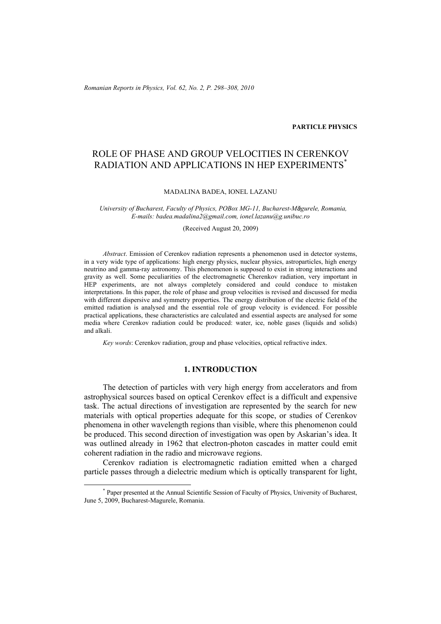*Romanian Reports in Physics, Vol. 62, No. 2, P. 298–308, 2010*

### **PARTICLE PHYSICS**

# ROLE OF PHASE AND GROUP VELOCITIES IN CERENKOV RADIATION AND APPLICATIONS IN HEP EXPERIMENTS<sup>\*</sup>

#### MADALINA BADEA, IONEL LAZANU

*University of Bucharest, Faculty of Physics, POBox MG-11, Bucharest-Măgurele, Romania, E-mails: badea.madalina2@gmail.com, ionel.lazanu@g.unibuc.ro* 

(Received August 20, 2009)

*Abstract*. Emission of Cerenkov radiation represents a phenomenon used in detector systems, in a very wide type of applications: high energy physics, nuclear physics, astroparticles, high energy neutrino and gamma-ray astronomy. This phenomenon is supposed to exist in strong interactions and gravity as well. Some peculiarities of the electromagnetic Cherenkov radiation, very important in HEP experiments, are not always completely considered and could conduce to mistaken interpretations. In this paper, the role of phase and group velocities is revised and discussed for media with different dispersive and symmetry properties. The energy distribution of the electric field of the emitted radiation is analysed and the essential role of group velocity is evidenced. For possible practical applications, these characteristics are calculated and essential aspects are analysed for some media where Cerenkov radiation could be produced: water, ice, noble gases (liquids and solids) and alkali.

*Key words*: Cerenkov radiation, group and phase velocities, optical refractive index.

# **1. INTRODUCTION**

 The detection of particles with very high energy from accelerators and from astrophysical sources based on optical Cerenkov effect is a difficult and expensive task. The actual directions of investigation are represented by the search for new materials with optical properties adequate for this scope, or studies of Cerenkov phenomena in other wavelength regions than visible, where this phenomenon could be produced. This second direction of investigation was open by Askarian's idea. It was outlined already in 1962 that electron-photon cascades in matter could emit coherent radiation in the radio and microwave regions.

 Cerenkov radiation is electromagnetic radiation emitted when a charged particle passes through a dielectric medium which is optically transparent for light,

 <sup>\*</sup> Paper presented at the Annual Scientific Session of Faculty of Physics, University of Bucharest, June 5, 2009, Bucharest-Magurele, Romania.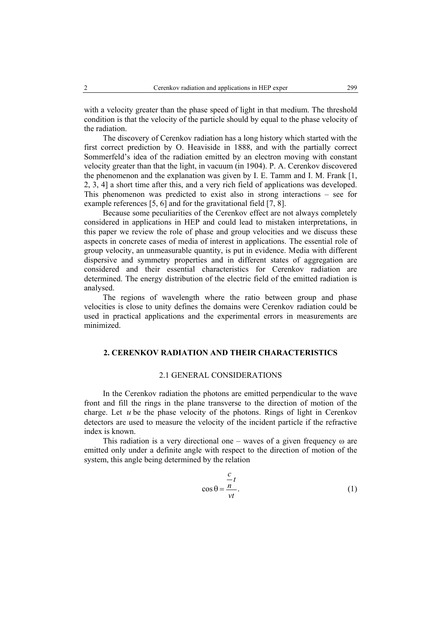with a velocity greater than the phase speed of light in that medium. The threshold condition is that the velocity of the particle should by equal to the phase velocity of the radiation.

 The discovery of Cerenkov radiation has a long history which started with the first correct prediction by O. Heaviside in 1888, and with the partially correct Sommerfeld's idea of the radiation emitted by an electron moving with constant velocity greater than that the light, in vacuum (in 1904). P. A. Cerenkov discovered the phenomenon and the explanation was given by I. E. Tamm and I. M. Frank [1, 2, 3, 4] a short time after this, and a very rich field of applications was developed. This phenomenon was predicted to exist also in strong interactions – see for example references [5, 6] and for the gravitational field [7, 8].

 Because some peculiarities of the Cerenkov effect are not always completely considered in applications in HEP and could lead to mistaken interpretations, in this paper we review the role of phase and group velocities and we discuss these aspects in concrete cases of media of interest in applications. The essential role of group velocity, an unmeasurable quantity, is put in evidence. Media with different dispersive and symmetry properties and in different states of aggregation are considered and their essential characteristics for Cerenkov radiation are determined. The energy distribution of the electric field of the emitted radiation is analysed.

 The regions of wavelength where the ratio between group and phase velocities is close to unity defines the domains were Cerenkov radiation could be used in practical applications and the experimental errors in measurements are minimized.

# **2. CERENKOV RADIATION AND THEIR CHARACTERISTICS**

#### 2.1 GENERAL CONSIDERATIONS

 In the Cerenkov radiation the photons are emitted perpendicular to the wave front and fill the rings in the plane transverse to the direction of motion of the charge. Let *u* be the phase velocity of the photons. Rings of light in Cerenkov detectors are used to measure the velocity of the incident particle if the refractive index is known.

This radiation is a very directional one – waves of a given frequency  $\omega$  are emitted only under a definite angle with respect to the direction of motion of the system, this angle being determined by the relation

$$
\cos \theta = \frac{\frac{c}{n}}{vt}.
$$
 (1)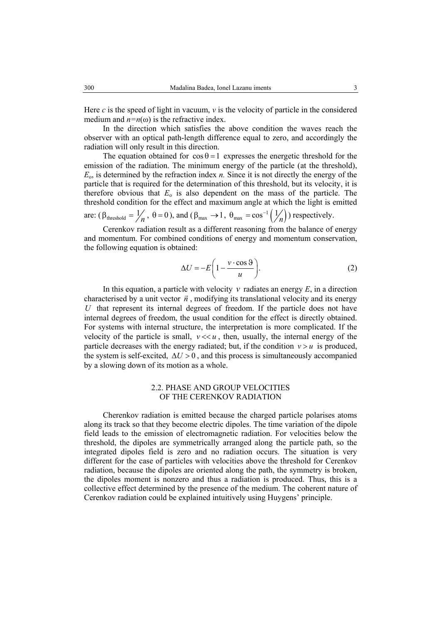Here *c* is the speed of light in vacuum, *v* is the velocity of particle in the considered medium and  $n=n(\omega)$  is the refractive index.

In the direction which satisfies the above condition the waves reach the observer with an optical path-length difference equal to zero, and accordingly the radiation will only result in this direction.

The equation obtained for  $\cos \theta = 1$  expresses the energetic threshold for the emission of the radiation. The minimum energy of the particle (at the threshold), *E*o, is determined by the refraction index *n.* Since it is not directly the energy of the particle that is required for the determination of this threshold, but its velocity, it is therefore obvious that  $E_0$  is also dependent on the mass of the particle. The threshold condition for the effect and maximum angle at which the light is emitted

are:  $(\beta_{\text{threshold}} = \frac{1}{n}, \theta = 0)$ , and  $(\beta_{\text{max}} \rightarrow 1, \theta_{\text{max}} = \cos^{-1} (\frac{1}{n}))$  respectively.

 Cerenkov radiation result as a different reasoning from the balance of energy and momentum. For combined conditions of energy and momentum conservation, the following equation is obtained:

$$
\Delta U = -E \left( 1 - \frac{v \cdot \cos \vartheta}{u} \right). \tag{2}
$$

In this equation, a particle with velocity  $\nu$  radiates an energy  $E$ , in a direction characterised by a unit vector  $\vec{n}$ , modifying its translational velocity and its energy *U* that represent its internal degrees of freedom. If the particle does not have internal degrees of freedom, the usual condition for the effect is directly obtained. For systems with internal structure, the interpretation is more complicated. If the velocity of the particle is small,  $v \ll u$ , then, usually, the internal energy of the particle decreases with the energy radiated; but, if the condition  $v > u$  is produced, the system is self-excited,  $\Delta U > 0$ , and this process is simultaneously accompanied by a slowing down of its motion as a whole.

## 2.2. PHASE AND GROUP VELOCITIES OF THE CERENKOV RADIATION

 Cherenkov radiation is emitted because the charged particle polarises atoms along its track so that they become electric dipoles. The time variation of the dipole field leads to the emission of electromagnetic radiation. For velocities below the threshold, the dipoles are symmetrically arranged along the particle path, so the integrated dipoles field is zero and no radiation occurs. The situation is very different for the case of particles with velocities above the threshold for Cerenkov radiation, because the dipoles are oriented along the path, the symmetry is broken, the dipoles moment is nonzero and thus a radiation is produced. Thus, this is a collective effect determined by the presence of the medium. The coherent nature of Cerenkov radiation could be explained intuitively using Huygens' principle.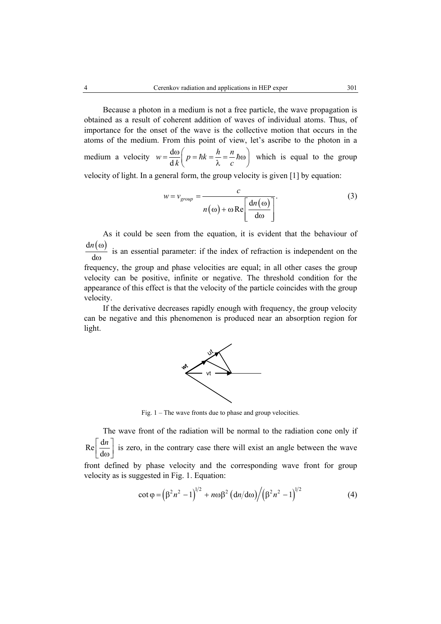Because a photon in a medium is not a free particle, the wave propagation is obtained as a result of coherent addition of waves of individual atoms. Thus, of importance for the onset of the wave is the collective motion that occurs in the atoms of the medium. From this point of view, let's ascribe to the photon in a medium a velocity  $w = \frac{d}{dx}$  $w = \frac{d\omega}{dk} \left( p = \hbar k = \frac{h}{\lambda} = \frac{n}{c} \hbar \omega \right)$  which is equal to the group velocity of light. In a general form, the group velocity is given [1] by equation:

> $\left(\omega\right) + \omega \operatorname{Re}\left[\frac{\mathrm{d}n(\omega)}{1}\right]$ d *group*  $w = v_{\text{oroun}} = \frac{c}{\sqrt{c}}$ *n n*  $= v_{group} = \frac{c}{\sqrt{d_n(\omega)}}$ ω) + ω Re $\left[\frac{m(\omega)}{d\omega}\right]$ (3)

 As it could be seen from the equation, it is evident that the behaviour of  $dn(\omega)$ d *n* ω ω is an essential parameter: if the index of refraction is independent on the frequency, the group and phase velocities are equal; in all other cases the group velocity can be positive, infinite or negative. The threshold condition for the appearance of this effect is that the velocity of the particle coincides with the group velocity.

 If the derivative decreases rapidly enough with frequency, the group velocity can be negative and this phenomenon is produced near an absorption region for light.



Fig. 1 – The wave fronts due to phase and group velocities.

 The wave front of the radiation will be normal to the radiation cone only if  $Re \Big[ \frac{d}{2}$ d *n*  $\left[\frac{du}{d\omega}\right]$  is zero, in the contrary case there will exist an angle between the wave front defined by phase velocity and the corresponding wave front for group velocity as is suggested in Fig. 1. Equation:

$$
\cot \varphi = \left(\beta^2 n^2 - 1\right)^{1/2} + n\omega \beta^2 \left(\frac{dn}{d\omega}\right) / \left(\beta^2 n^2 - 1\right)^{1/2} \tag{4}
$$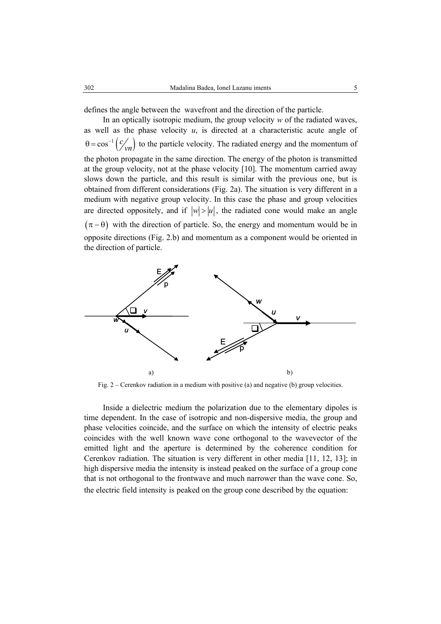defines the angle between the wavefront and the direction of the particle.

 In an optically isotropic medium, the group velocity *w* of the radiated waves, as well as the phase velocity  $u$ , is directed at a characteristic acute angle of  $\theta = \cos^{-1}(\mathcal{C}_{\sqrt{n}})$  to the particle velocity. The radiated energy and the momentum of the photon propagate in the same direction. The energy of the photon is transmitted at the group velocity, not at the phase velocity [10]. The momentum carried away slows down the particle, and this result is similar with the previous one, but is obtained from different considerations (Fig. 2a). The situation is very different in a medium with negative group velocity. In this case the phase and group velocities are directed oppositely, and if  $|w| > |u|$ , the radiated cone would make an angle  $(\pi - \theta)$  with the direction of particle. So, the energy and momentum would be in opposite directions (Fig. 2.b) and momentum as a component would be oriented in the direction of particle.



Fig. 2 – Cerenkov radiation in a medium with positive (a) and negative (b) group velocities.

 Inside a dielectric medium the polarization due to the elementary dipoles is time dependent. In the case of isotropic and non-dispersive media, the group and phase velocities coincide, and the surface on which the intensity of electric peaks coincides with the well known wave cone orthogonal to the wavevector of the emitted light and the aperture is determined by the coherence condition for Cerenkov radiation. The situation is very different in other media [11, 12, 13]; in high dispersive media the intensity is instead peaked on the surface of a group cone that is not orthogonal to the frontwave and much narrower than the wave cone. So, the electric field intensity is peaked on the group cone described by the equation: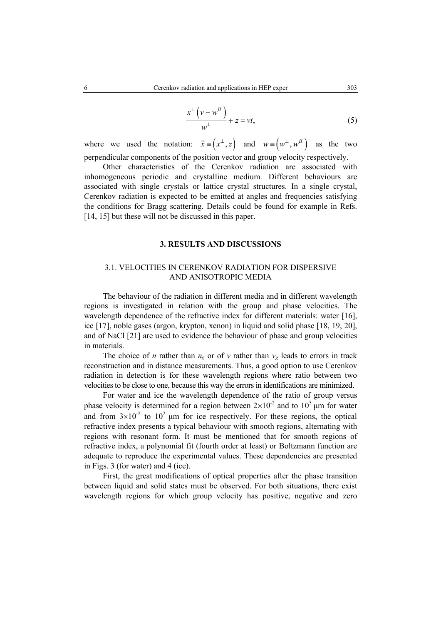$$
\frac{x^{\perp}(v - w^{II})}{w^{\perp}} + z = vt,
$$
\n(5)

where we used the notation:  $\vec{x} = (x^{\perp}, z)$  and  $w = (w^{\perp}, w^{\perp})$  as the two perpendicular components of the position vector and group velocity respectively.

 Other characteristics of the Cerenkov radiation are associated with inhomogeneous periodic and crystalline medium. Different behaviours are associated with single crystals or lattice crystal structures. In a single crystal, Cerenkov radiation is expected to be emitted at angles and frequencies satisfying the conditions for Bragg scattering. Details could be found for example in Refs. [14, 15] but these will not be discussed in this paper.

#### **3. RESULTS AND DISCUSSIONS**

# 3.1. VELOCITIES IN CERENKOV RADIATION FOR DISPERSIVE AND ANISOTROPIC MEDIA

 The behaviour of the radiation in different media and in different wavelength regions is investigated in relation with the group and phase velocities. The wavelength dependence of the refractive index for different materials: water [16], ice [17], noble gases (argon, krypton, xenon) in liquid and solid phase [18, 19, 20], and of NaCl [21] are used to evidence the behaviour of phase and group velocities in materials.

The choice of *n* rather than  $n_g$  or of *v* rather than  $v_g$  leads to errors in track reconstruction and in distance measurements. Thus, a good option to use Cerenkov radiation in detection is for these wavelength regions where ratio between two velocities to be close to one, because this way the errors in identifications are minimized.

 For water and ice the wavelength dependence of the ratio of group versus phase velocity is determined for a region between  $2 \times 10^{-2}$  and to  $10^5$  µm for water and from  $3\times10^{-2}$  to  $10^{2}$  µm for ice respectively. For these regions, the optical refractive index presents a typical behaviour with smooth regions, alternating with regions with resonant form. It must be mentioned that for smooth regions of refractive index, a polynomial fit (fourth order at least) or Boltzmann function are adequate to reproduce the experimental values. These dependencies are presented in Figs. 3 (for water) and 4 (ice).

First, the great modifications of optical properties after the phase transition between liquid and solid states must be observed. For both situations, there exist wavelength regions for which group velocity has positive, negative and zero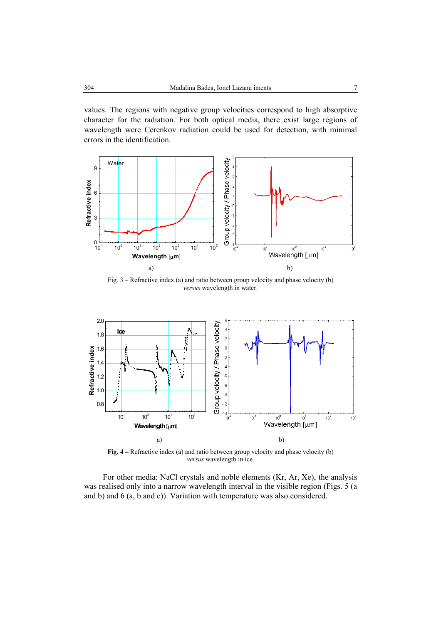values. The regions with negative group velocities correspond to high absorptive character for the radiation. For both optical media, there exist large regions of wavelength were Cerenkov radiation could be used for detection, with minimal errors in the identification.



Fig. 3 – Refractive index (a) and ratio between group velocity and phase velocity (b) *versus* wavelength in water.



**Fig. 4 –** Refractive index (a) and ratio between group velocity and phase velocity (b) *versus* wavelength in ice.

For other media: NaCl crystals and noble elements (Kr, Ar, Xe), the analysis was realised only into a narrow wavelength interval in the visible region (Figs. 5 (a and b) and 6 (a, b and c)). Variation with temperature was also considered.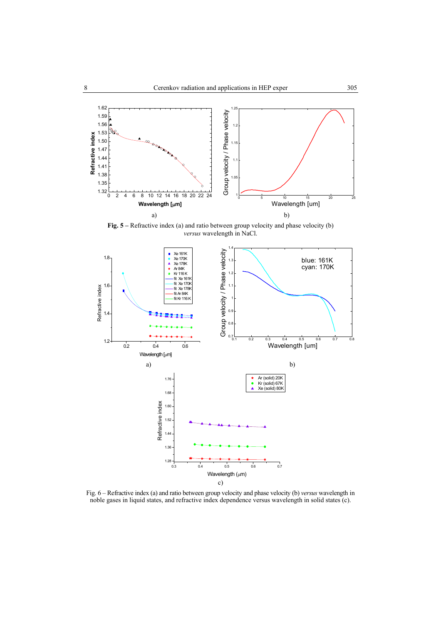

**Fig. 5 –** Refractive index (a) and ratio between group velocity and phase velocity (b) *versus* wavelength in NaCl.



Fig. 6 – Refractive index (a) and ratio between group velocity and phase velocity (b) *versus* wavelength in noble gases in liquid states, and refractive index dependence versus wavelength in solid states (c).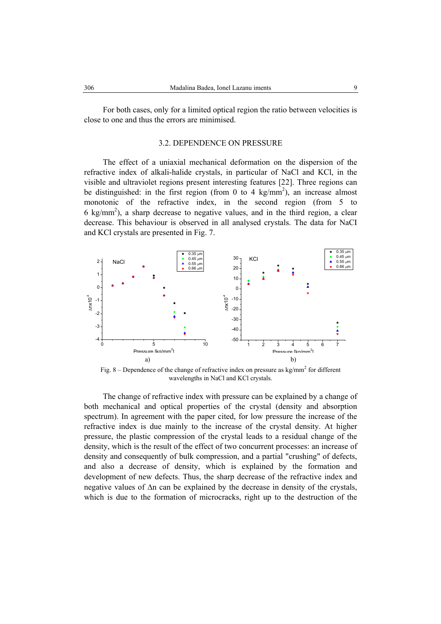For both cases, only for a limited optical region the ratio between velocities is close to one and thus the errors are minimised.

#### 3.2. DEPENDENCE ON PRESSURE

 The effect of a uniaxial mechanical deformation on the dispersion of the refractive index of alkali-halide crystals, in particular of NaCl and KCl, in the visible and ultraviolet regions present interesting features [22]. Three regions can be distinguished: in the first region (from 0 to 4 kg/mm<sup>2</sup>), an increase almost monotonic of the refractive index, in the second region (from 5 to  $6 \text{ kg/mm}^2$ ), a sharp decrease to negative values, and in the third region, a clear decrease. This behaviour is observed in all analysed crystals. The data for NaCI and KCl crystals are presented in Fig. 7.



Fig. 8 – Dependence of the change of refractive index on pressure as  $\text{kg/mm}^2$  for different wavelengths in NaCl and KCl crystals.

The change of refractive index with pressure can be explained by a change of both mechanical and optical properties of the crystal (density and absorption spectrum). In agreement with the paper cited, for low pressure the increase of the refractive index is due mainly to the increase of the crystal density. At higher pressure, the plastic compression of the crystal leads to a residual change of the density, which is the result of the effect of two concurrent processes: an increase of density and consequently of bulk compression, and a partial "crushing" of defects, and also a decrease of density, which is explained by the formation and development of new defects. Thus, the sharp decrease of the refractive index and negative values of ∆n can be explained by the decrease in density of the crystals, which is due to the formation of microcracks, right up to the destruction of the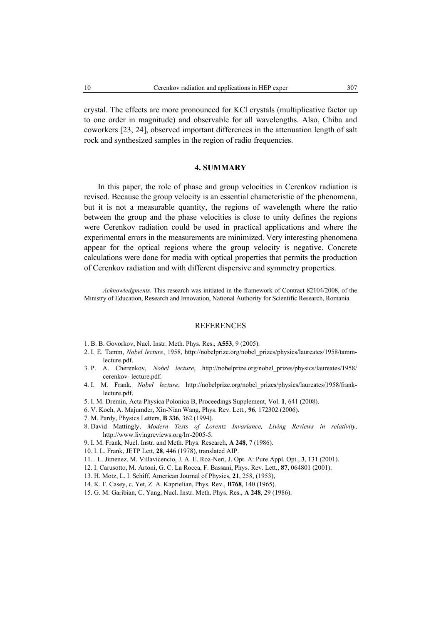crystal. The effects are more pronounced for KCl crystals (multiplicative factor up to one order in magnitude) and observable for all wavelengths. Also, Chiba and coworkers [23, 24], observed important differences in the attenuation length of salt rock and synthesized samples in the region of radio frequencies.

# **4. SUMMARY**

In this paper, the role of phase and group velocities in Cerenkov radiation is revised. Because the group velocity is an essential characteristic of the phenomena, but it is not a measurable quantity, the regions of wavelength where the ratio between the group and the phase velocities is close to unity defines the regions were Cerenkov radiation could be used in practical applications and where the experimental errors in the measurements are minimized. Very interesting phenomena appear for the optical regions where the group velocity is negative. Concrete calculations were done for media with optical properties that permits the production of Cerenkov radiation and with different dispersive and symmetry properties.

*Acknowledgments*. This research was initiated in the framework of Contract 82104/2008, of the Ministry of Education, Research and Innovation, National Authority for Scientific Research, Romania.

#### REFERENCES

- 1. B. B. Govorkov, Nucl. Instr. Meth. Phys. Res., **A553**, 9 (2005).
- 2. I. E. Tamm, *Nobel lecture*, 1958, http://nobelprize.org/nobel\_prizes/physics/laureates/1958/tammlecture.pdf.
- 3. P. A. Cherenkov, *Nobel lecture*, http://nobelprize.org/nobel\_prizes/physics/laureates/1958/ cerenkov- lecture.pdf.
- 4. I. M. Frank, *Nobel lecture*, http://nobelprize.org/nobel\_prizes/physics/laureates/1958/franklecture.pdf.
- 5. I. M. Dremin, Acta Physica Polonica B, Proceedings Supplement, Vol. **1**, 641 (2008).
- 6. V. Koch, A. Majumder, Xin-Nian Wang, Phys. Rev. Lett., **96**, 172302 (2006).
- 7. M. Pardy, Physics Letters, **B 336**, 362 (1994).
- 8. David Mattingly, *Modern Tests of Lorentz Invariance, Living Reviews in relativity*, http://www.livingreviews.org/lrr-2005-5.
- 9. I. M. Frank, Nucl. Instr. and Meth. Phys. Research, **A 248**, 7 (1986).
- 10. I. L. Frank, JETP Lett, **28**, 446 (1978), translated AIP.
- 11. . L. Jimenez, M. Villavicencio, J. A. E. Roa-Neri, J. Opt. A: Pure Appl. Opt., **3**, 131 (2001).
- 12. I. Carusotto, M. Artoni, G. C. La Rocca, F. Bassani, Phys. Rev. Lett., **87**, 064801 (2001).
- 13. H. Motz, L. I. Schiff, American Journal of Physics, **21**, 258, (1953),
- 14. K. F. Casey, c. Yet, Z. A. Kaprielian, Phys. Rev., **B768**, 140 (1965).
- 15. G. M. Garibian, C. Yang, Nucl. Instr. Meth. Phys. Res., **A 248**, 29 (1986).